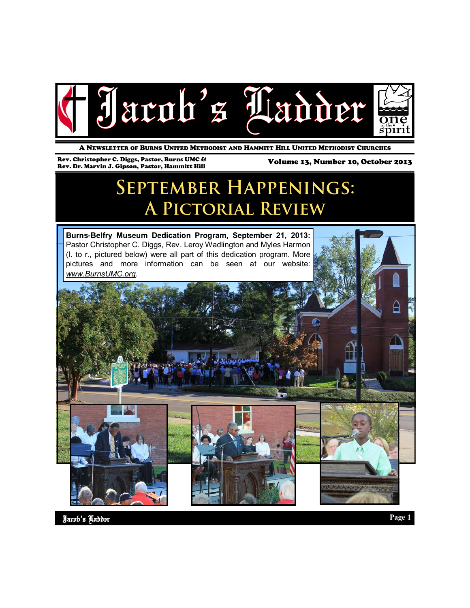

A NEWSLETTER OF BURNS UNITED METHODIST AND HAMMITT HILL UNITED METHODIST CHURCHES

Rev. Christopher C. Diggs, Pastor, Burns UMC & Rev. Dr. Marvin J. Gipson, Pastor, Hammitt Hill

Volume 13, Number 10, October 2013

# **SEPTEMBER HAPPENINGS:** A PICTORIAL REVIEW

**Burns-Belfry Museum Dedication Program, September 21, 2013:**  Pastor Christopher C. Diggs, Rev. Leroy Wadlington and Myles Harmon (l. to r., pictured below) were all part of this dedication program. More pictures and more information can be seen at our website: *www.BurnsUMC.org*.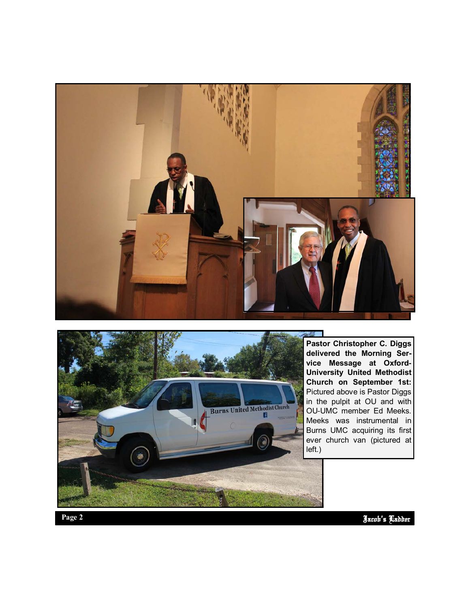



**Pastor Christopher C. Diggs delivered the Morning Service Message at Oxford-University United Methodist Church on September 1st:**  Pictured above is Pastor Diggs in the pulpit at OU and with OU -UMC member Ed Meeks. Meeks was instrumental in Burns UMC acquiring its first ever church van (pictured at left.)

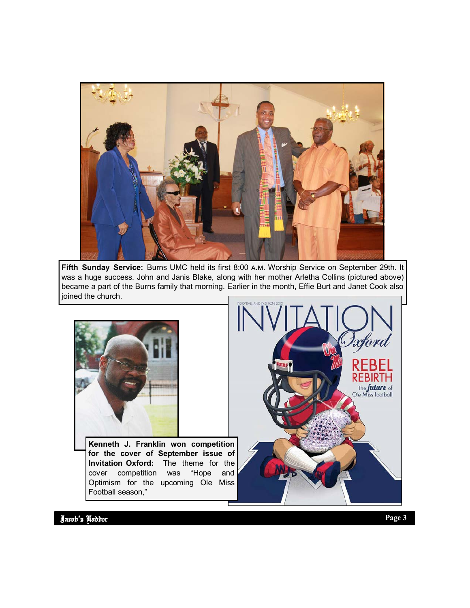

**Fifth Sunday Service:** Burns UMC held its first 8:00 a.m. Worship Service on September 29th. It was a huge success. John and Janis Blake, along with her mother Arletha Collins (pictured above) became a part of the Burns family that morning. Earlier in the month, Effie Burt and Janet Cook also joined the church.



**Kenneth J. Franklin won competition for the cover of September issue of Invitation Oxford:** The theme for the cover competition was "Hope and Optimism for the upcoming Ole Miss Football season,"